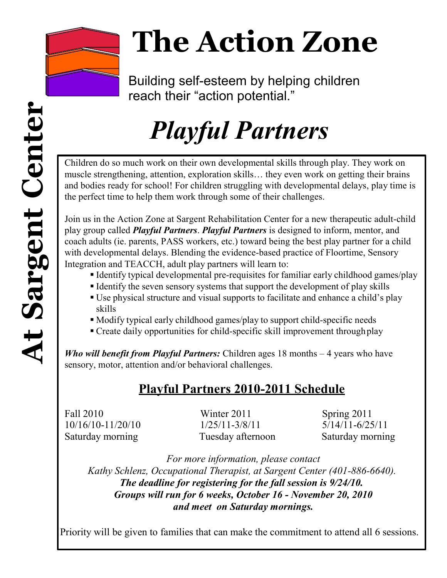

# **The Action Zone**

Building self-esteem by helping children reach their "action potential."

## *Playful Partners*

Children do so much work on their own developmental skills through play. They work on muscle strengthening, attention, exploration skills… they even work on getting their brains and bodies ready for school! For children struggling with developmental delays, play time is the perfect time to help them work through some of their challenges.

Join us in the Action Zone at Sargent Rehabilitation Center for a new therapeutic adult-child play group called *Playful Partners*. *Playful Partners* is designed to inform, mentor, and coach adults (ie. parents, PASS workers, etc.) toward being the best play partner for a child with developmental delays. Blending the evidence-based practice of Floortime, Sensory Integration and TEACCH, adult play partners will learn to:

- Identify typical developmental pre-requisites for familiar early childhood games/play
- Identify the seven sensory systems that support the development of play skills
- Use physical structure and visual supports to facilitate and enhance a child's play skills
- Modify typical early childhood games/play to support child-specific needs
- Create daily opportunities for child-specific skill improvement through play

*Who will benefit from Playful Partners:* Children ages 18 months – 4 years who have sensory, motor, attention and/or behavioral challenges.

## **Playful Partners 2010-2011 Schedule**

Fall 2010 Winter 2011 Spring 2011 10/16/10-11/20/10 1/25/11-3/8/11 5/14/11-6/25/11 Saturday morning Tuesday afternoon Saturday morning

*For more information, please contact Kathy Schlenz, Occupational Therapist, at Sargent Center (401-886-6640). The deadline for registering for the fall session is 9/24/10. Groups will run for 6 weeks, October 16 - November 20, 2010 and meet on Saturday mornings.*

Priority will be given to families that can make the commitment to attend all 6 sessions.